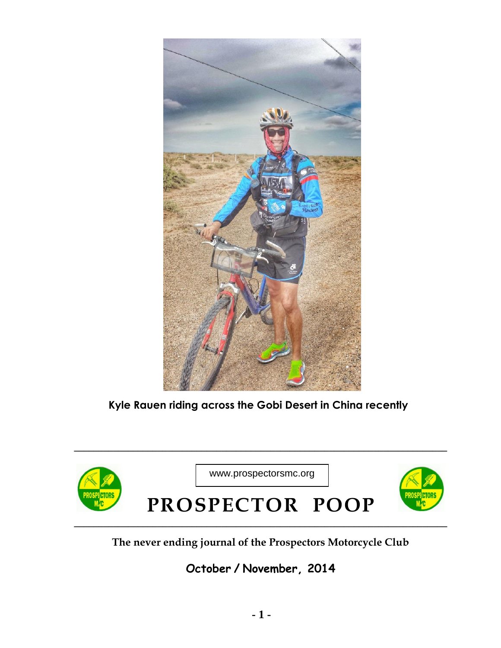

**Kyle Rauen riding across the Gobi Desert in China recently**



**The never ending journal of the Prospectors Motorcycle Club**

**October / November, 2014**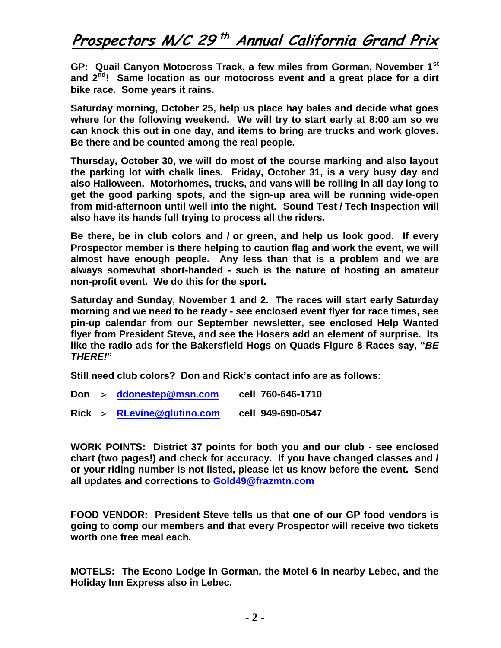## **Prospectors M/C 29 th Annual California Grand Prix**

**GP: Quail Canyon Motocross Track, a few miles from Gorman, November 1st and 2nd! Same location as our motocross event and a great place for a dirt bike race. Some years it rains.** 

**Saturday morning, October 25, help us place hay bales and decide what goes where for the following weekend. We will try to start early at 8:00 am so we can knock this out in one day, and items to bring are trucks and work gloves. Be there and be counted among the real people.** 

**Thursday, October 30, we will do most of the course marking and also layout the parking lot with chalk lines. Friday, October 31, is a very busy day and also Halloween. Motorhomes, trucks, and vans will be rolling in all day long to get the good parking spots, and the sign-up area will be running wide-open from mid-afternoon until well into the night. Sound Test / Tech Inspection will also have its hands full trying to process all the riders.** 

**Be there, be in club colors and / or green, and help us look good. If every Prospector member is there helping to caution flag and work the event, we will almost have enough people. Any less than that is a problem and we are always somewhat short-handed - such is the nature of hosting an amateur non-profit event. We do this for the sport.** 

**Saturday and Sunday, November 1 and 2. The races will start early Saturday morning and we need to be ready - see enclosed event flyer for race times, see pin-up calendar from our September newsletter, see enclosed Help Wanted flyer from President Steve, and see the Hosers add an element of surprise. Its like the radio ads for the Bakersfield Hogs on Quads Figure 8 Races say, "***BE THERE!***"** 

**Still need club colors? Don and Rick's contact info are as follows:** 

- **Don > [ddonestep@msn.com](mailto:ddonestep@msn.com) cell 760-646-1710**
- **Rick > [RLevine@glutino.com](mailto:RLevine@glutino.com) cell 949-690-0547**

**WORK POINTS: District 37 points for both you and our club - see enclosed chart (two pages!) and check for accuracy. If you have changed classes and / or your riding number is not listed, please let us know before the event. Send all updates and corrections to [Gold49@frazmtn.com](mailto:Gold49@frazmtn.com)**

**FOOD VENDOR: President Steve tells us that one of our GP food vendors is going to comp our members and that every Prospector will receive two tickets worth one free meal each.** 

**MOTELS: The Econo Lodge in Gorman, the Motel 6 in nearby Lebec, and the Holiday Inn Express also in Lebec.**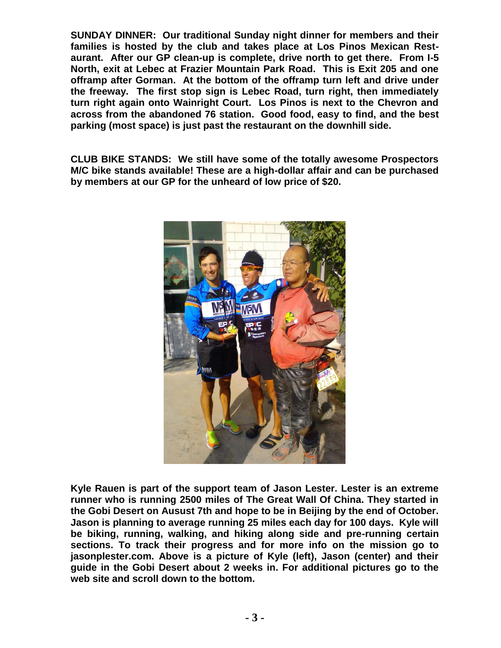**SUNDAY DINNER: Our traditional Sunday night dinner for members and their families is hosted by the club and takes place at Los Pinos Mexican Restaurant. After our GP clean-up is complete, drive north to get there. From I-5 North, exit at Lebec at Frazier Mountain Park Road. This is Exit 205 and one offramp after Gorman. At the bottom of the offramp turn left and drive under the freeway. The first stop sign is Lebec Road, turn right, then immediately turn right again onto Wainright Court. Los Pinos is next to the Chevron and across from the abandoned 76 station. Good food, easy to find, and the best parking (most space) is just past the restaurant on the downhill side.** 

**CLUB BIKE STANDS: We still have some of the totally awesome Prospectors M/C bike stands available! These are a high-dollar affair and can be purchased by members at our GP for the unheard of low price of \$20.** 



**Kyle Rauen is part of the support team of Jason Lester. Lester is an extreme runner who is running 2500 miles of The Great Wall Of China. They started in the Gobi Desert on Ausust 7th and hope to be in Beijing by the end of October. Jason is planning to average running 25 miles each day for 100 days. Kyle will be biking, running, walking, and hiking along side and pre-running certain sections. To track their progress and for more info on the mission go to jasonplester.com. Above is a picture of Kyle (left), Jason (center) and their guide in the Gobi Desert about 2 weeks in. For additional pictures go to the web site and scroll down to the bottom.**